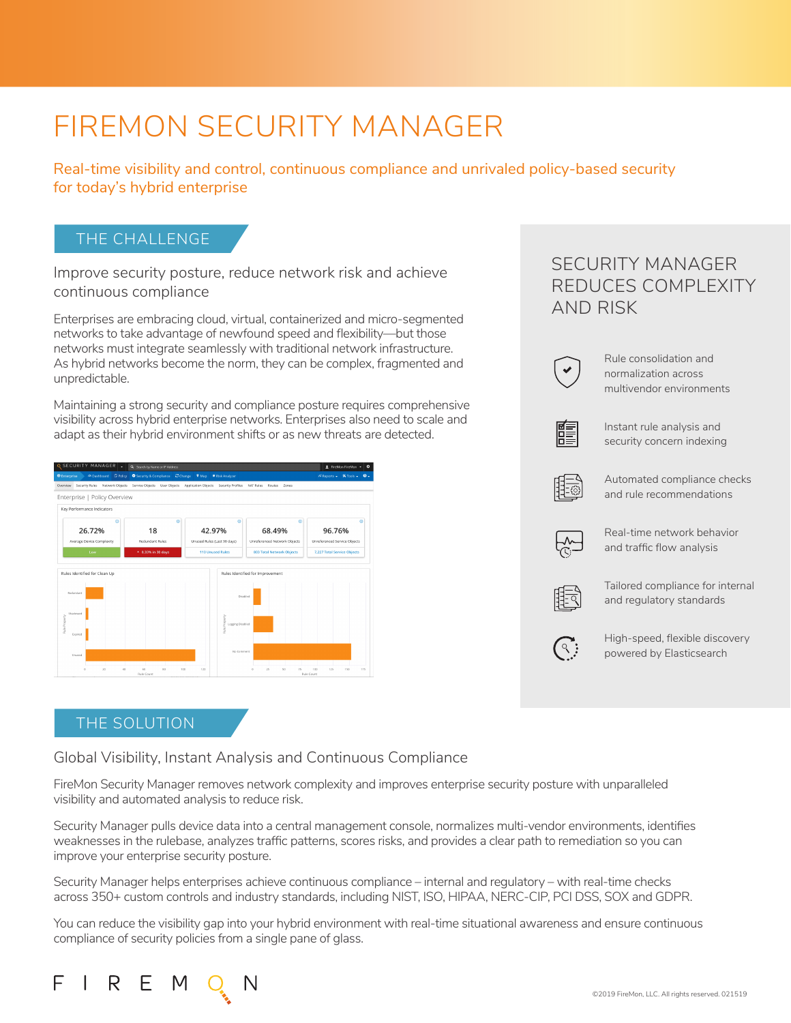# FIREMON SECURITY MANAGER

Real-time visibility and control, continuous compliance and unrivaled policy-based security for today's hybrid enterprise

### THE CHALLENGE

Improve security posture, reduce network risk and achieve continuous compliance

Enterprises are embracing cloud, virtual, containerized and micro-segmented networks to take advantage of newfound speed and flexibility—but those networks must integrate seamlessly with traditional network infrastructure. As hybrid networks become the norm, they can be complex, fragmented and unpredictable.

Maintaining a strong security and compliance posture requires comprehensive visibility across hybrid enterprise networks. Enterprises also need to scale and adapt as their hybrid environment shifts or as new threats are detected.



### THE SOLUTION

R E M

Global Visibility, Instant Analysis and Continuous Compliance

FireMon Security Manager removes network complexity and improves enterprise security posture with unparalleled visibility and automated analysis to reduce risk.

Security Manager pulls device data into a central management console, normalizes multi-vendor environments, identifies weaknesses in the rulebase, analyzes traffic patterns, scores risks, and provides a clear path to remediation so you can improve your enterprise security posture.

Security Manager helps enterprises achieve continuous compliance – internal and regulatory – with real-time checks across 350+ custom controls and industry standards, including NIST, ISO, HIPAA, NERC-CIP, PCI DSS, SOX and GDPR.

You can reduce the visibility gap into your hybrid environment with real-time situational awareness and ensure continuous compliance of security policies from a single pane of glass.

# SECURITY MANAGER REDUCES COMPLEXITY AND RISK



Rule consolidation and normalization across multivendor environments



Instant rule analysis and security concern indexing



Automated compliance checks and rule recommendations



Real-time network behavior and traffic flow analysis



Tailored compliance for internal and regulatory standards



High-speed, flexible discovery powered by Elasticsearch